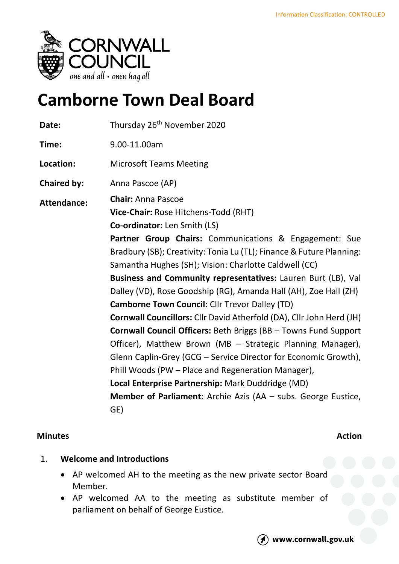

# **Camborne Town Deal Board**

| Date:              | Thursday 26 <sup>th</sup> November 2020                              |
|--------------------|----------------------------------------------------------------------|
| Time:              | 9.00-11.00am                                                         |
| Location:          | <b>Microsoft Teams Meeting</b>                                       |
| <b>Chaired by:</b> | Anna Pascoe (AP)                                                     |
| <b>Attendance:</b> | <b>Chair: Anna Pascoe</b>                                            |
|                    | Vice-Chair: Rose Hitchens-Todd (RHT)                                 |
|                    | <b>Co-ordinator:</b> Len Smith (LS)                                  |
|                    | Partner Group Chairs: Communications & Engagement: Sue               |
|                    | Bradbury (SB); Creativity: Tonia Lu (TL); Finance & Future Planning: |
|                    | Samantha Hughes (SH); Vision: Charlotte Caldwell (CC)                |
|                    | Business and Community representatives: Lauren Burt (LB), Val        |
|                    | Dalley (VD), Rose Goodship (RG), Amanda Hall (AH), Zoe Hall (ZH)     |
|                    | <b>Camborne Town Council: Cllr Trevor Dalley (TD)</b>                |
|                    | Cornwall Councillors: Cllr David Atherfold (DA), Cllr John Herd (JH) |
|                    | Cornwall Council Officers: Beth Briggs (BB - Towns Fund Support      |
|                    | Officer), Matthew Brown (MB - Strategic Planning Manager),           |
|                    | Glenn Caplin-Grey (GCG – Service Director for Economic Growth),      |
|                    | Phill Woods (PW – Place and Regeneration Manager),                   |
|                    | Local Enterprise Partnership: Mark Duddridge (MD)                    |
|                    | <b>Member of Parliament:</b> Archie Azis (AA - subs. George Eustice, |
|                    | GE)                                                                  |

# **Minutes Action**

# 1. **Welcome and Introductions**

- AP welcomed AH to the meeting as the new private sector Board Member.
- AP welcomed AA to the meeting as substitute member of parliament on behalf of George Eustice.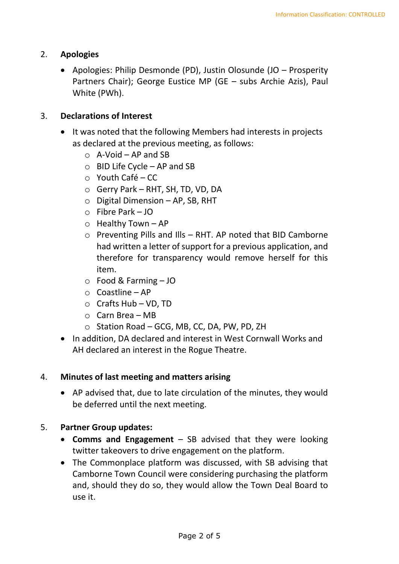## 2. **Apologies**

• Apologies: Philip Desmonde (PD), Justin Olosunde (JO – Prosperity Partners Chair); George Eustice MP (GE – subs Archie Azis), Paul White (PWh).

#### 3. **Declarations of Interest**

- It was noted that the following Members had interests in projects as declared at the previous meeting, as follows:
	- $\circ$  A-Void AP and SB
	- o BID Life Cycle AP and SB
	- $\circ$  Youth Café CC
	- o Gerry Park RHT, SH, TD, VD, DA
	- $\circ$  Digital Dimension AP, SB, RHT
	- o Fibre Park JO
	- $\circ$  Healthy Town AP
	- o Preventing Pills and Ills RHT. AP noted that BID Camborne had written a letter of support for a previous application, and therefore for transparency would remove herself for this item.
	- o Food & Farming JO
	- o Coastline AP
	- $\circ$  Crafts Hub VD, TD
	- $O$  Carn Brea MB
	- o Station Road GCG, MB, CC, DA, PW, PD, ZH
- In addition, DA declared and interest in West Cornwall Works and AH declared an interest in the Rogue Theatre.

#### 4. **Minutes of last meeting and matters arising**

• AP advised that, due to late circulation of the minutes, they would be deferred until the next meeting.

### 5. **Partner Group updates:**

- **Comms and Engagement** SB advised that they were looking twitter takeovers to drive engagement on the platform.
- The Commonplace platform was discussed, with SB advising that Camborne Town Council were considering purchasing the platform and, should they do so, they would allow the Town Deal Board to use it.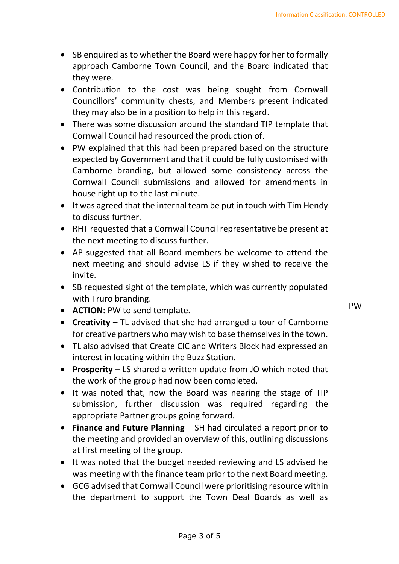- SB enquired as to whether the Board were happy for her to formally approach Camborne Town Council, and the Board indicated that they were.
- Contribution to the cost was being sought from Cornwall Councillors' community chests, and Members present indicated they may also be in a position to help in this regard.
- There was some discussion around the standard TIP template that Cornwall Council had resourced the production of.
- PW explained that this had been prepared based on the structure expected by Government and that it could be fully customised with Camborne branding, but allowed some consistency across the Cornwall Council submissions and allowed for amendments in house right up to the last minute.
- It was agreed that the internal team be put in touch with Tim Hendy to discuss further.
- RHT requested that a Cornwall Council representative be present at the next meeting to discuss further.
- AP suggested that all Board members be welcome to attend the next meeting and should advise LS if they wished to receive the invite.
- SB requested sight of the template, which was currently populated with Truro branding.
- **ACTION:** PW to send template.
- **Creativity –** TL advised that she had arranged a tour of Camborne for creative partners who may wish to base themselves in the town.
- TL also advised that Create CIC and Writers Block had expressed an interest in locating within the Buzz Station.
- **Prosperity** LS shared a written update from JO which noted that the work of the group had now been completed.
- It was noted that, now the Board was nearing the stage of TIP submission, further discussion was required regarding the appropriate Partner groups going forward.
- **Finance and Future Planning** SH had circulated a report prior to the meeting and provided an overview of this, outlining discussions at first meeting of the group.
- It was noted that the budget needed reviewing and LS advised he was meeting with the finance team prior to the next Board meeting.
- GCG advised that Cornwall Council were prioritising resource within the department to support the Town Deal Boards as well as

PW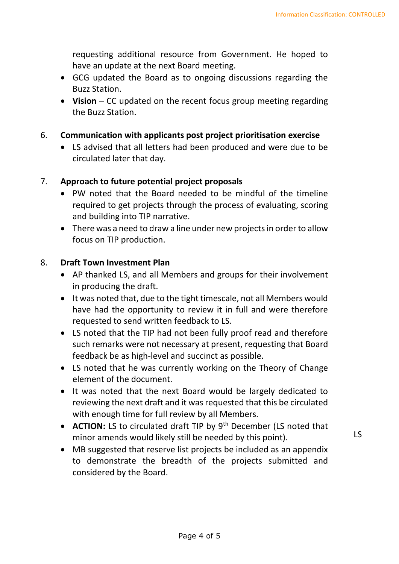requesting additional resource from Government. He hoped to have an update at the next Board meeting.

- GCG updated the Board as to ongoing discussions regarding the Buzz Station.
- **Vision** CC updated on the recent focus group meeting regarding the Buzz Station.
- 6. **Communication with applicants post project prioritisation exercise**
	- LS advised that all letters had been produced and were due to be circulated later that day.

# 7. **Approach to future potential project proposals**

- PW noted that the Board needed to be mindful of the timeline required to get projects through the process of evaluating, scoring and building into TIP narrative.
- There was a need to draw a line under new projects in order to allow focus on TIP production.

# 8. **Draft Town Investment Plan**

- AP thanked LS, and all Members and groups for their involvement in producing the draft.
- It was noted that, due to the tight timescale, not all Members would have had the opportunity to review it in full and were therefore requested to send written feedback to LS.
- LS noted that the TIP had not been fully proof read and therefore such remarks were not necessary at present, requesting that Board feedback be as high-level and succinct as possible.
- LS noted that he was currently working on the Theory of Change element of the document.
- It was noted that the next Board would be largely dedicated to reviewing the next draft and it was requested that this be circulated with enough time for full review by all Members.
- **ACTION:** LS to circulated draft TIP by 9<sup>th</sup> December (LS noted that minor amends would likely still be needed by this point).
- MB suggested that reserve list projects be included as an appendix to demonstrate the breadth of the projects submitted and considered by the Board.

 $LS$